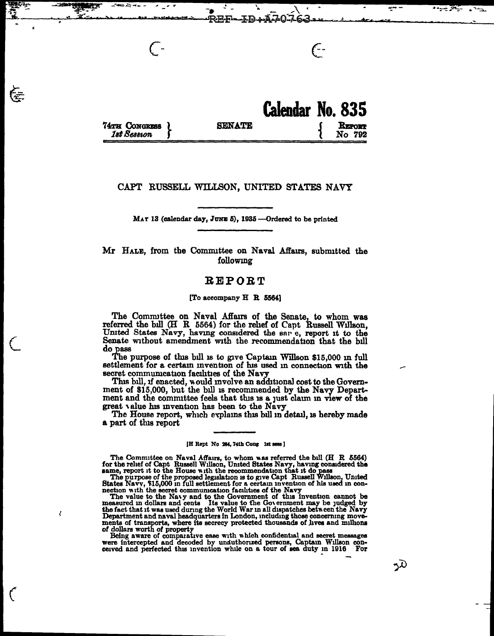|                                       |               | Calendar No. 835 |
|---------------------------------------|---------------|------------------|
| 74TH CONGRESS L<br><b>1st Session</b> | <b>SENATE</b> | REPORT<br>No 792 |

(-

**Agency States** and all and some

 $\mathsf{C}$ 

## CAPT RUSSELL WILLSON, UNITED STATES NAVY

MAY 13 (calendar day, JUNE 5), 1935 ---Ordered to be printed

Mr HALE, from the Comnuttee on Naval Affaus, submitted the following

# REPORT

## [To accompany  $H$  R 5564]

The Commuttee on Naval Affairs of the Senate, to whom was referred the bill (H R 5564) for the rehef of Capt Russell Willson, United States Navy, having considered the sar e, report it to the Senate without amendment with the recommendation that the bill do pass

 $\subset$ 

€

*(* 

 $\mathcal{L}_{\mathcal{L}}$ 

The purpose of this bill is to give Captain Willson \$15,000 in full settlement for a certain invention of his used in connection with the secret communication facilities of the Navy

secret communication facilities of the Navy<br>This bill, if enacted, would involve an additional cost to the Government of \$15,000, but the bill is recommended by the Navy Department and the committee feels that this is a just claim in view of the great value his invention has been to the Navy The House report, which explains this bill in detail, is hereby made

a part of this report

### IH Rept No 284, 74th Cong 1st seas ]

The Committee on Naval Affairs, to whom was referred the bill (H R 5564) for the rehef of Capt Russell Willson, United States Navy, having considered the

same, report it to the House with the recommendation that it do pass<br>The purpose of the proposed legislation is to give Capt Russell Willson, United States Navv, \$15,000 in full settlement for a certain invention of his used in con-<br>nection with the secret communication facilities of the Navy<br>The value to the Navy and to the Government of this invention cannot be

measured in dollars and cents Its value to the Government may be judged by the fact that it was used during the World War in all dispatches between the Navy Department and naval headquarters in London, including those conc

of comparative ease with which confidential and secret messages<br>were intercepted and decoded by unauthorized persons, Captain Willson con-<br>ceived and perfected this invention while on a tour of sea duty in 1916 For

ندو.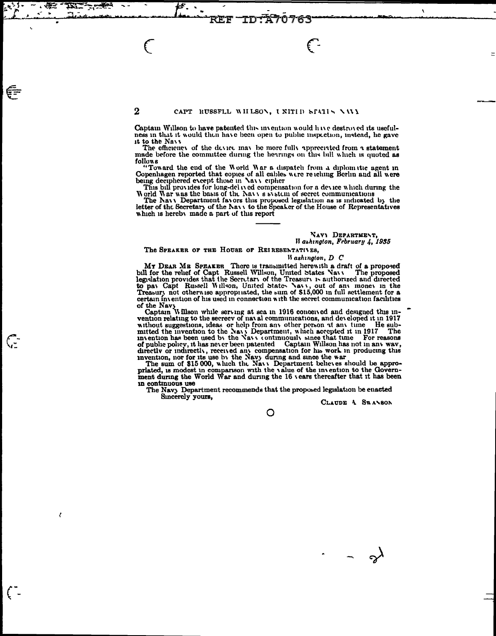## CAPT RUSSFLL WHLSON, UNITID STATIN NAVY

REF

 $\overline{2}$ 

TD

n

æ

€Ē

(∵

€

 $\epsilon$ 

Captain Willson to have patented this invention would have destroyed its usefulness in that it would then have been open to public inspection, instead, he gave it to the Navy

The efficiency of the device may be more fully appreciated from a statement made before the committee during the herrings on this bill which is quoted as follows

"Toward the end of the World War a dispatch from a diplomatic agent in Copenhagen reported that copies of all cables were retching Berlin and all were<br>being deciphered except those in Navy cipher

This bill provides for long-del ived compensation for a device which during the World War was the basis of the Navy s system of secret communications

The Navy Department favors this proposed legislation as is indicated by the letter of the Secretary of the Navy to the Speaker of the House of Representatives which is hereby made a part of this report

#### NAVY DEPARTMENT, II ashington, February 4, 1935

#### The SPEARER OF THE HOUSE OF REIRESENTATIVES.

#### Washington, D C

MY DEAR ME SPEAKER There is transmitted herewith a draft of a proposed bill for the relief of Capt Russell Willson, United States Navy The proposed legislation provides that the Secretary of the Treasury is authorized and to pay Capt Russell Willson, United States Navy, out of any money in the Treasury not otherwise appropriated, the sum of \$15,000 in full settlement for a certain invention of his used in connection with the secret communication facilities

of the Navy<br>Captain Willson while serving at sea in 1916 conceived and designed this in-<br>vention relating to the secrecy of naval communications, and developed it in 1917<br>He subvention relating to the secrecy of maxal communications, and developed it in 1917<br>without suggestions, ideas or help from any other person at any time. He sub-<br>mitted the invention to the Nayy Department, which accepted i

in continuous use

The Navy Department recommends that the proposed legislation be enacted Sincerely yours,

CLAUDE 4 SWANSON

O